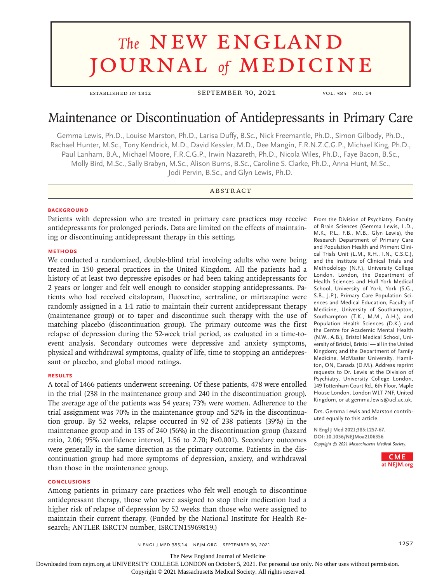# **The NEW ENGLAND** journal *of* medicine

established in 1812 September 30, 2021 vol. 385 no. 14

# Maintenance or Discontinuation of Antidepressants in Primary Care

Gemma Lewis, Ph.D., Louise Marston, Ph.D., Larisa Duffy, B.Sc., Nick Freemantle, Ph.D., Simon Gilbody, Ph.D., Rachael Hunter, M.Sc., Tony Kendrick, M.D., David Kessler, M.D., Dee Mangin, F.R.N.Z.C.G.P., Michael King, Ph.D., Paul Lanham, B.A., Michael Moore, F.R.C.G.P., Irwin Nazareth, Ph.D., Nicola Wiles, Ph.D., Faye Bacon, B.Sc., Molly Bird, M.Sc., Sally Brabyn, M.Sc., Alison Burns, B.Sc., Caroline S. Clarke, Ph.D., Anna Hunt, M.Sc., Jodi Pervin, B.Sc., and Glyn Lewis, Ph.D.

# **ABSTRACT**

#### **BACKGROUND**

Patients with depression who are treated in primary care practices may receive antidepressants for prolonged periods. Data are limited on the effects of maintaining or discontinuing antidepressant therapy in this setting.

#### **METHODS**

We conducted a randomized, double-blind trial involving adults who were being treated in 150 general practices in the United Kingdom. All the patients had a history of at least two depressive episodes or had been taking antidepressants for 2 years or longer and felt well enough to consider stopping antidepressants. Patients who had received citalopram, fluoxetine, sertraline, or mirtazapine were randomly assigned in a 1:1 ratio to maintain their current antidepressant therapy (maintenance group) or to taper and discontinue such therapy with the use of matching placebo (discontinuation group). The primary outcome was the first relapse of depression during the 52-week trial period, as evaluated in a time-toevent analysis. Secondary outcomes were depressive and anxiety symptoms, physical and withdrawal symptoms, quality of life, time to stopping an antidepressant or placebo, and global mood ratings.

#### **RESULTS**

A total of 1466 patients underwent screening. Of these patients, 478 were enrolled in the trial (238 in the maintenance group and 240 in the discontinuation group). The average age of the patients was 54 years; 73% were women. Adherence to the trial assignment was 70% in the maintenance group and 52% in the discontinuation group. By 52 weeks, relapse occurred in 92 of 238 patients (39%) in the maintenance group and in 135 of 240 (56%) in the discontinuation group (hazard ratio, 2.06; 95% confidence interval, 1.56 to 2.70; P<0.001). Secondary outcomes were generally in the same direction as the primary outcome. Patients in the discontinuation group had more symptoms of depression, anxiety, and withdrawal than those in the maintenance group.

#### **CONCLUSIONS**

Among patients in primary care practices who felt well enough to discontinue antidepressant therapy, those who were assigned to stop their medication had a higher risk of relapse of depression by 52 weeks than those who were assigned to maintain their current therapy. (Funded by the National Institute for Health Research; ANTLER ISRCTN number, ISRCTN15969819.)

From the Division of Psychiatry, Faculty of Brain Sciences (Gemma Lewis, L.D., M.K., P.L., F.B., M.B., Glyn Lewis), the Research Department of Primary Care and Population Health and Priment Clinical Trials Unit (L.M., R.H., I.N., C.S.C.), and the Institute of Clinical Trials and Methodology (N.F.), University College London, London, the Department of Health Sciences and Hull York Medical School, University of York, York (S.G., S.B., J.P.), Primary Care Population Sciences and Medical Education, Faculty of Medicine, University of Southampton, Southampton (T.K., M.M., A.H.), and Population Health Sciences (D.K.) and the Centre for Academic Mental Health (N.W., A.B.), Bristol Medical School, University of Bristol, Bristol — all in the United Kingdom; and the Department of Family Medicine, McMaster University, Hamilton, ON, Canada (D.M.). Address reprint requests to Dr. Lewis at the Division of Psychiatry, University College London, 149 Tottenham Court Rd., 6th Floor, Maple House London, London W1T 7NF, United Kingdom, or at gemma.lewis@ucl.ac.uk.

Drs. Gemma Lewis and Marston contributed equally to this article.

**N Engl J Med 2021;385:1257-67. DOI: 10.1056/NEJMoa2106356** *Copyright © 2021 Massachusetts Medical Society.*



n engl j med 385;14 nejm.org September 30, 2021 1257 1257

The New England Journal of Medicine

Downloaded from nejm.org at UNIVERSITY COLLEGE LONDON on October 5, 2021. For personal use only. No other uses without permission.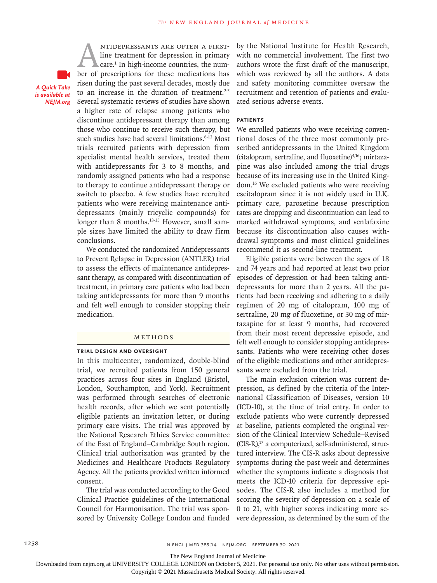*A Quick Take is available at NEJM.org*

ANTIDEPRESSANTS ARE OFTEN A FIRST-<br>line treatment for depression in primary<br>care.<sup>1</sup> In high-income countries, the num-<br>ber of prescriptions for these medications has line treatment for depression in primary care.<sup>1</sup> In high-income countries, the numrisen during the past several decades, mostly due to an increase in the duration of treatment. $2-5$ Several systematic reviews of studies have shown a higher rate of relapse among patients who discontinue antidepressant therapy than among those who continue to receive such therapy, but such studies have had several limitations.<sup>6-12</sup> Most trials recruited patients with depression from specialist mental health services, treated them with antidepressants for 3 to 8 months, and randomly assigned patients who had a response to therapy to continue antidepressant therapy or switch to placebo. A few studies have recruited patients who were receiving maintenance antidepressants (mainly tricyclic compounds) for longer than 8 months.<sup>13-15</sup> However, small sample sizes have limited the ability to draw firm conclusions.

We conducted the randomized Antidepressants to Prevent Relapse in Depression (ANTLER) trial to assess the effects of maintenance antidepressant therapy, as compared with discontinuation of treatment, in primary care patients who had been taking antidepressants for more than 9 months and felt well enough to consider stopping their medication.

#### METHODS

#### **Trial Design and Oversight**

In this multicenter, randomized, double-blind trial, we recruited patients from 150 general practices across four sites in England (Bristol, London, Southampton, and York). Recruitment was performed through searches of electronic health records, after which we sent potentially eligible patients an invitation letter, or during primary care visits. The trial was approved by the National Research Ethics Service committee of the East of England–Cambridge South region. Clinical trial authorization was granted by the Medicines and Healthcare Products Regulatory Agency. All the patients provided written informed consent.

The trial was conducted according to the Good Clinical Practice guidelines of the International Council for Harmonisation. The trial was sponsored by University College London and funded by the National Institute for Health Research, with no commercial involvement. The first two authors wrote the first draft of the manuscript, which was reviewed by all the authors. A data and safety monitoring committee oversaw the recruitment and retention of patients and evaluated serious adverse events.

# **Patients**

We enrolled patients who were receiving conventional doses of the three most commonly prescribed antidepressants in the United Kingdom (citalopram, sertraline, and fluoxetine)4,16; mirtazapine was also included among the trial drugs because of its increasing use in the United Kingdom.16 We excluded patients who were receiving escitalopram since it is not widely used in U.K. primary care, paroxetine because prescription rates are dropping and discontinuation can lead to marked withdrawal symptoms, and venlafaxine because its discontinuation also causes withdrawal symptoms and most clinical guidelines recommend it as second-line treatment.

Eligible patients were between the ages of 18 and 74 years and had reported at least two prior episodes of depression or had been taking antidepressants for more than 2 years. All the patients had been receiving and adhering to a daily regimen of 20 mg of citalopram, 100 mg of sertraline, 20 mg of fluoxetine, or 30 mg of mirtazapine for at least 9 months, had recovered from their most recent depressive episode, and felt well enough to consider stopping antidepressants. Patients who were receiving other doses of the eligible medications and other antidepressants were excluded from the trial.

The main exclusion criterion was current depression, as defined by the criteria of the International Classification of Diseases, version 10 (ICD-10), at the time of trial entry. In order to exclude patients who were currently depressed at baseline, patients completed the original version of the Clinical Interview Schedule–Revised  $(CIS-R)<sup>17</sup>$  a computerized, self-administered, structured interview. The CIS-R asks about depressive symptoms during the past week and determines whether the symptoms indicate a diagnosis that meets the ICD-10 criteria for depressive episodes. The CIS-R also includes a method for scoring the severity of depression on a scale of 0 to 21, with higher scores indicating more severe depression, as determined by the sum of the

The New England Journal of Medicine

Downloaded from nejm.org at UNIVERSITY COLLEGE LONDON on October 5, 2021. For personal use only. No other uses without permission.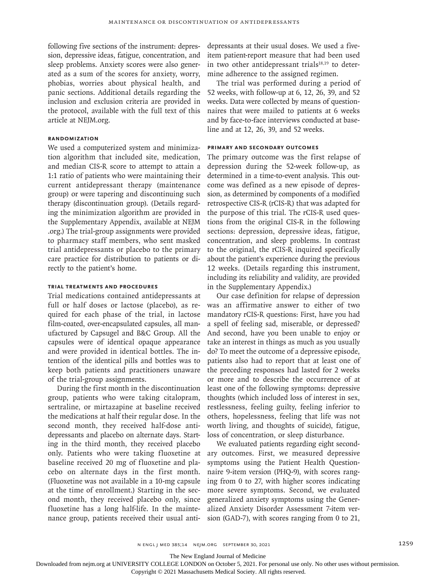following five sections of the instrument: depression, depressive ideas, fatigue, concentration, and sleep problems. Anxiety scores were also generated as a sum of the scores for anxiety, worry, phobias, worries about physical health, and panic sections. Additional details regarding the inclusion and exclusion criteria are provided in the protocol, available with the full text of this article at NEJM.org.

# **Randomization**

We used a computerized system and minimization algorithm that included site, medication, and median CIS-R score to attempt to attain a 1:1 ratio of patients who were maintaining their current antidepressant therapy (maintenance group) or were tapering and discontinuing such therapy (discontinuation group). (Details regarding the minimization algorithm are provided in the Supplementary Appendix, available at NEJM .org.) The trial-group assignments were provided to pharmacy staff members, who sent masked trial antidepressants or placebo to the primary care practice for distribution to patients or directly to the patient's home.

# **Trial Treatments and Procedures**

Trial medications contained antidepressants at full or half doses or lactose (placebo), as required for each phase of the trial, in lactose film-coated, over-encapsulated capsules, all manufactured by Capsugel and B&C Group. All the capsules were of identical opaque appearance and were provided in identical bottles. The intention of the identical pills and bottles was to keep both patients and practitioners unaware of the trial-group assignments.

During the first month in the discontinuation group, patients who were taking citalopram, sertraline, or mirtazapine at baseline received the medications at half their regular dose. In the second month, they received half-dose antidepressants and placebo on alternate days. Starting in the third month, they received placebo only. Patients who were taking fluoxetine at baseline received 20 mg of fluoxetine and placebo on alternate days in the first month. (Fluoxetine was not available in a 10-mg capsule at the time of enrollment.) Starting in the second month, they received placebo only, since fluoxetine has a long half-life. In the maintenance group, patients received their usual antidepressants at their usual doses. We used a fiveitem patient-report measure that had been used in two other antidepressant trial $s^{18,19}$  to determine adherence to the assigned regimen.

The trial was performed during a period of 52 weeks, with follow-up at 6, 12, 26, 39, and 52 weeks. Data were collected by means of questionnaires that were mailed to patients at 6 weeks and by face-to-face interviews conducted at baseline and at 12, 26, 39, and 52 weeks.

#### **Primary and Secondary Outcomes**

The primary outcome was the first relapse of depression during the 52-week follow-up, as determined in a time-to-event analysis. This outcome was defined as a new episode of depression, as determined by components of a modified retrospective CIS-R (rCIS-R) that was adapted for the purpose of this trial. The rCIS-R used questions from the original CIS-R in the following sections: depression, depressive ideas, fatigue, concentration, and sleep problems. In contrast to the original, the rCIS-R inquired specifically about the patient's experience during the previous 12 weeks. (Details regarding this instrument, including its reliability and validity, are provided in the Supplementary Appendix.)

Our case definition for relapse of depression was an affirmative answer to either of two mandatory rCIS-R questions: First, have you had a spell of feeling sad, miserable, or depressed? And second, have you been unable to enjoy or take an interest in things as much as you usually do? To meet the outcome of a depressive episode, patients also had to report that at least one of the preceding responses had lasted for 2 weeks or more and to describe the occurrence of at least one of the following symptoms: depressive thoughts (which included loss of interest in sex, restlessness, feeling guilty, feeling inferior to others, hopelessness, feeling that life was not worth living, and thoughts of suicide), fatigue, loss of concentration, or sleep disturbance.

We evaluated patients regarding eight secondary outcomes. First, we measured depressive symptoms using the Patient Health Questionnaire 9-item version (PHQ-9), with scores ranging from 0 to 27, with higher scores indicating more severe symptoms. Second, we evaluated generalized anxiety symptoms using the Generalized Anxiety Disorder Assessment 7-item version (GAD-7), with scores ranging from 0 to 21,

The New England Journal of Medicine

Downloaded from nejm.org at UNIVERSITY COLLEGE LONDON on October 5, 2021. For personal use only. No other uses without permission.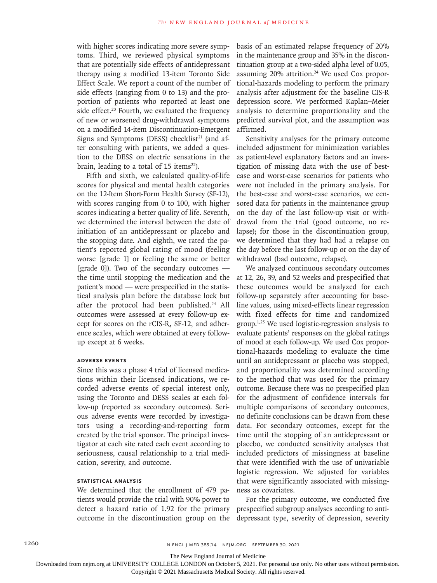with higher scores indicating more severe symptoms. Third, we reviewed physical symptoms that are potentially side effects of antidepressant therapy using a modified 13-item Toronto Side Effect Scale. We report a count of the number of side effects (ranging from 0 to 13) and the proportion of patients who reported at least one side effect.<sup>20</sup> Fourth, we evaluated the frequency of new or worsened drug-withdrawal symptoms on a modified 14-item Discontinuation-Emergent Signs and Symptoms (DESS) checklist<sup>21</sup> (and after consulting with patients, we added a question to the DESS on electric sensations in the brain, leading to a total of 15 items<sup>22</sup>).

Fifth and sixth, we calculated quality-of-life scores for physical and mental health categories on the 12-Item Short-Form Health Survey (SF-12), with scores ranging from 0 to 100, with higher scores indicating a better quality of life. Seventh, we determined the interval between the date of initiation of an antidepressant or placebo and the stopping date. And eighth, we rated the patient's reported global rating of mood (feeling worse [grade 1] or feeling the same or better [grade 0]). Two of the secondary outcomes  $$ the time until stopping the medication and the patient's mood — were prespecified in the statistical analysis plan before the database lock but after the protocol had been published.<sup>24</sup> All outcomes were assessed at every follow-up except for scores on the rCIS-R, SF-12, and adherence scales, which were obtained at every followup except at 6 weeks.

#### **Adverse Events**

Since this was a phase 4 trial of licensed medications within their licensed indications, we recorded adverse events of special interest only, using the Toronto and DESS scales at each follow-up (reported as secondary outcomes). Serious adverse events were recorded by investigators using a recording-and-reporting form created by the trial sponsor. The principal investigator at each site rated each event according to seriousness, causal relationship to a trial medication, severity, and outcome.

# **Statistical Analysis**

We determined that the enrollment of 479 patients would provide the trial with 90% power to detect a hazard ratio of 1.92 for the primary outcome in the discontinuation group on the

basis of an estimated relapse frequency of 20% in the maintenance group and 35% in the discontinuation group at a two-sided alpha level of 0.05, assuming 20% attrition.<sup>24</sup> We used Cox proportional-hazards modeling to perform the primary analysis after adjustment for the baseline CIS-R depression score. We performed Kaplan–Meier analysis to determine proportionality and the predicted survival plot, and the assumption was affirmed.

Sensitivity analyses for the primary outcome included adjustment for minimization variables as patient-level explanatory factors and an investigation of missing data with the use of bestcase and worst-case scenarios for patients who were not included in the primary analysis. For the best-case and worst-case scenarios, we censored data for patients in the maintenance group on the day of the last follow-up visit or withdrawal from the trial (good outcome, no relapse); for those in the discontinuation group, we determined that they had had a relapse on the day before the last follow-up or on the day of withdrawal (bad outcome, relapse).

We analyzed continuous secondary outcomes at 12, 26, 39, and 52 weeks and prespecified that these outcomes would be analyzed for each follow-up separately after accounting for baseline values, using mixed-effects linear regression with fixed effects for time and randomized group.1,25 We used logistic-regression analysis to evaluate patients' responses on the global ratings of mood at each follow-up. We used Cox proportional-hazards modeling to evaluate the time until an antidepressant or placebo was stopped, and proportionality was determined according to the method that was used for the primary outcome. Because there was no prespecified plan for the adjustment of confidence intervals for multiple comparisons of secondary outcomes, no definite conclusions can be drawn from these data. For secondary outcomes, except for the time until the stopping of an antidepressant or placebo, we conducted sensitivity analyses that included predictors of missingness at baseline that were identified with the use of univariable logistic regression. We adjusted for variables that were significantly associated with missingness as covariates.

For the primary outcome, we conducted five prespecified subgroup analyses according to antidepressant type, severity of depression, severity

The New England Journal of Medicine

Downloaded from nejm.org at UNIVERSITY COLLEGE LONDON on October 5, 2021. For personal use only. No other uses without permission.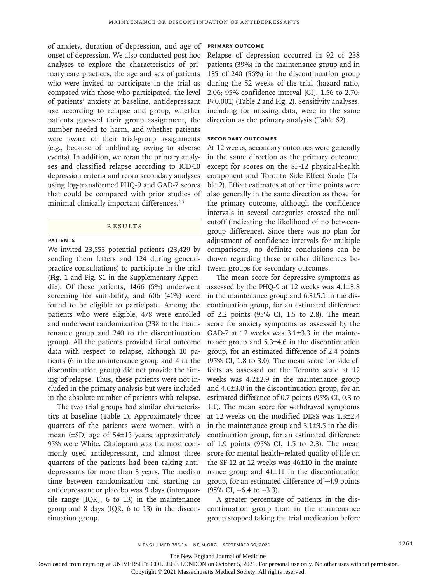of anxiety, duration of depression, and age of onset of depression. We also conducted post hoc analyses to explore the characteristics of primary care practices, the age and sex of patients who were invited to participate in the trial as compared with those who participated, the level of patients' anxiety at baseline, antidepressant use according to relapse and group, whether patients guessed their group assignment, the number needed to harm, and whether patients were aware of their trial-group assignments (e.g., because of unblinding owing to adverse events). In addition, we reran the primary analyses and classified relapse according to ICD-10 depression criteria and reran secondary analyses using log-transformed PHQ-9 and GAD-7 scores that could be compared with prior studies of minimal clinically important differences.<sup>2,3</sup>

#### **RESULTS**

#### **Patients**

We invited 23,553 potential patients (23,429 by sending them letters and 124 during generalpractice consultations) to participate in the trial (Fig. 1 and Fig. S1 in the Supplementary Appendix). Of these patients, 1466 (6%) underwent screening for suitability, and 606 (41%) were found to be eligible to participate. Among the patients who were eligible, 478 were enrolled and underwent randomization (238 to the maintenance group and 240 to the discontinuation group). All the patients provided final outcome data with respect to relapse, although 10 patients (6 in the maintenance group and 4 in the discontinuation group) did not provide the timing of relapse. Thus, these patients were not included in the primary analysis but were included in the absolute number of patients with relapse.

The two trial groups had similar characteristics at baseline (Table 1). Approximately three quarters of the patients were women, with a mean (±SD) age of 54±13 years; approximately 95% were White. Citalopram was the most commonly used antidepressant, and almost three quarters of the patients had been taking antidepressants for more than 3 years. The median time between randomization and starting an antidepressant or placebo was 9 days (interquartile range [IQR], 6 to 13) in the maintenance group and 8 days (IQR, 6 to 13) in the discontinuation group.

# **Primary Outcome**

Relapse of depression occurred in 92 of 238 patients (39%) in the maintenance group and in 135 of 240 (56%) in the discontinuation group during the 52 weeks of the trial (hazard ratio, 2.06; 95% confidence interval [CI], 1.56 to 2.70; P<0.001) (Table 2 and Fig. 2). Sensitivity analyses, including for missing data, were in the same direction as the primary analysis (Table S2).

# **Secondary Outcomes**

At 12 weeks, secondary outcomes were generally in the same direction as the primary outcome, except for scores on the SF-12 physical-health component and Toronto Side Effect Scale (Table 2). Effect estimates at other time points were also generally in the same direction as those for the primary outcome, although the confidence intervals in several categories crossed the null cutoff (indicating the likelihood of no betweengroup difference). Since there was no plan for adjustment of confidence intervals for multiple comparisons, no definite conclusions can be drawn regarding these or other differences between groups for secondary outcomes.

The mean score for depressive symptoms as assessed by the PHQ-9 at 12 weeks was 4.1±3.8 in the maintenance group and 6.3±5.1 in the discontinuation group, for an estimated difference of 2.2 points (95% CI, 1.5 to 2.8). The mean score for anxiety symptoms as assessed by the GAD-7 at 12 weeks was 3.1±3.3 in the maintenance group and 5.3±4.6 in the discontinuation group, for an estimated difference of 2.4 points (95% CI, 1.8 to 3.0). The mean score for side effects as assessed on the Toronto scale at 12 weeks was 4.2±2.9 in the maintenance group and 4.6±3.0 in the discontinuation group, for an estimated difference of 0.7 points (95% CI, 0.3 to 1.1). The mean score for withdrawal symptoms at 12 weeks on the modified DESS was 1.3±2.4 in the maintenance group and 3.1±3.5 in the discontinuation group, for an estimated difference of 1.9 points (95% CI, 1.5 to 2.3). The mean score for mental health–related quality of life on the SF-12 at 12 weeks was 46±10 in the maintenance group and 41±11 in the discontinuation group, for an estimated difference of −4.9 points (95% CI, −6.4 to −3.3).

A greater percentage of patients in the discontinuation group than in the maintenance group stopped taking the trial medication before

The New England Journal of Medicine

Downloaded from nejm.org at UNIVERSITY COLLEGE LONDON on October 5, 2021. For personal use only. No other uses without permission.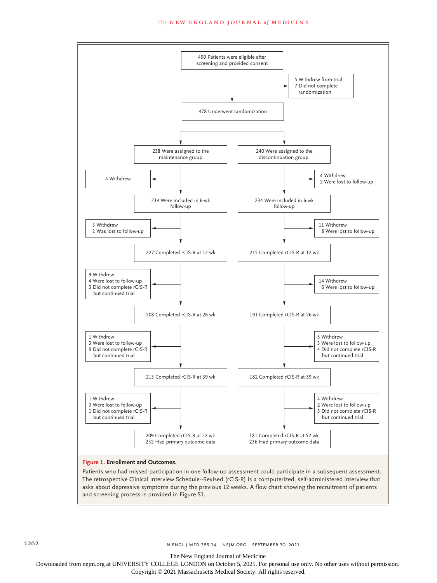#### **The NEW ENGLAND JOURNAL of MEDICINE**



The retrospective Clinical Interview Schedule–Revised (rCIS-R) is a computerized, self-administered interview that asks about depressive symptoms during the previous 12 weeks. A flow chart showing the recruitment of patients and screening process is provided in Figure S1.

The New England Journal of Medicine

Downloaded from nejm.org at UNIVERSITY COLLEGE LONDON on October 5, 2021. For personal use only. No other uses without permission.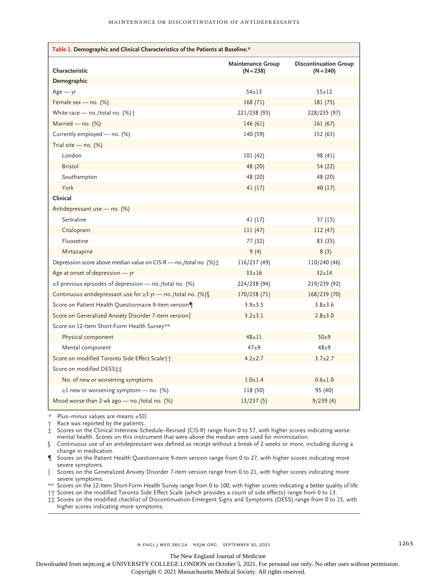| Table 1. Demographic and Clinical Characteristics of the Patients at Baseline.* |                                         |                                             |  |  |
|---------------------------------------------------------------------------------|-----------------------------------------|---------------------------------------------|--|--|
| Characteristic                                                                  | <b>Maintenance Group</b><br>$(N = 238)$ | <b>Discontinuation Group</b><br>$(N = 240)$ |  |  |
| Demographic                                                                     |                                         |                                             |  |  |
| $Age - yr$                                                                      | $54 + 13$                               | $55 + 12$                                   |  |  |
| Female sex - no. (%)                                                            | 168(71)                                 | 181 (75)                                    |  |  |
| White race — no./total no. $(\%)\uparrow$                                       | 221/238 (93)                            | 228/235 (97)                                |  |  |
| Married - no. (%)                                                               | 146(61)                                 | 161(67)                                     |  |  |
| Currently employed - no. (%)                                                    | 140 (59)                                | 152 (63)                                    |  |  |
| Trial site $-$ no. (%)                                                          |                                         |                                             |  |  |
| London                                                                          | 101 (42)                                | 98 (41)                                     |  |  |
| <b>Bristol</b>                                                                  | 48 (20)                                 | 54 (22)                                     |  |  |
| Southampton                                                                     | 48 (20)                                 | 48 (20)                                     |  |  |
| York                                                                            | 41(17)                                  | 40(17)                                      |  |  |
| Clinical                                                                        |                                         |                                             |  |  |
| Antidepressant use - no. (%)                                                    |                                         |                                             |  |  |
| Sertraline                                                                      | 41 (17)                                 | 37(15)                                      |  |  |
| Citalopram                                                                      | 111(47)                                 | 112 (47)                                    |  |  |
| Fluoxetine                                                                      | 77 (32)                                 | 83 (35)                                     |  |  |
| Mirtazapine                                                                     | 9(4)                                    | 8(3)                                        |  |  |
| Depression score above median value on CIS-R - no./total no. (%) :              | 116/237 (49)                            | 110/240 (46)                                |  |  |
| Age at onset of depression - yr                                                 | $33 + 16$                               | $32 + 14$                                   |  |  |
| $\geq$ 3 previous episodes of depression — no./total no. (%)                    | 224/238 (94)                            | 219/239 (92)                                |  |  |
| Continuous antidepressant use for ≥3 yr - no./total no. (%) §                   | 170/238 (71)                            | 168/239 (70)                                |  |  |
| Score on Patient Health Questionnaire 9-item version¶                           | $3.9 + 3.5$                             | $3.8 + 3.6$                                 |  |  |
| Score on Generalized Anxiety Disorder 7-item version                            | $3.2 \pm 3.1$                           | $2.8 \pm 3.0$                               |  |  |
| Score on 12-Item Short-Form Health Survey**                                     |                                         |                                             |  |  |
| Physical component                                                              | $48 + 11$                               | $50\pm9$                                    |  |  |
| Mental component                                                                | $47\pm9$                                | $48\pm9$                                    |  |  |
| Score on modified Toronto Side Effect Scale++                                   | $4.2 \pm 2.7$                           | $3.7 \pm 2.7$                               |  |  |
| Score on modified DESS:                                                         |                                         |                                             |  |  |
| No. of new or worsening symptoms                                                | $1.0 + 1.4$                             | $0.6 \pm 1.0$                               |  |  |
| $\geq$ 1 new or worsening symptom — no. (%)                                     | 118 (50)                                | 95 (40)                                     |  |  |
| Mood worse than 2 wk ago — no./total no. $(\%)$                                 | 13/237(5)                               | 9/239(4)                                    |  |  |

\* Plus–minus values are means ±SD.

Race was reported by the patients.

‡ Scores on the Clinical Interview Schedule–Revised (CIS-R) range from 0 to 57, with higher scores indicating worse mental health. Scores on this instrument that were above the median were used for minimization.

§ Continuous use of an antidepressant was defined as receipt without a break of 2 weeks or more, including during a change in medication.

¶ Scores on the Patient Health Questionnaire 9-item version range from 0 to 27, with higher scores indicating more severe symptoms.

Scores on the Generalized Anxiety Disorder 7-item version range from 0 to 21, with higher scores indicating more severe symptoms.

\*\* Scores on the 12-Item Short-Form Health Survey range from 0 to 100, with higher scores indicating a better quality of life. †† Scores on the modified Toronto Side Effect Scale (which provides a count of side effects) range from 0 to 13.

‡‡ Scores on the modified checklist of Discontinuation-Emergent Signs and Symptoms (DESS) range from 0 to 15, with higher scores indicating more symptoms.

The New England Journal of Medicine

Downloaded from nejm.org at UNIVERSITY COLLEGE LONDON on October 5, 2021. For personal use only. No other uses without permission.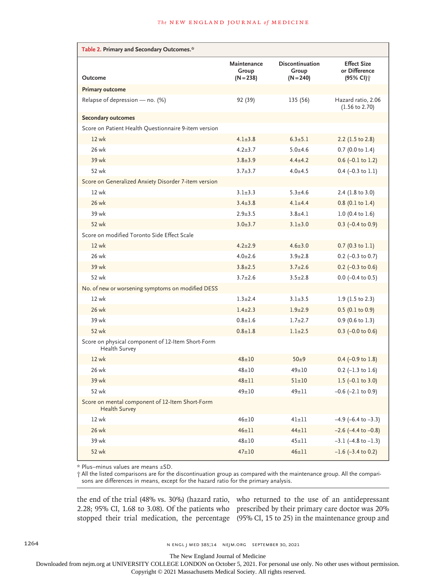| Table 2. Primary and Secondary Outcomes.*                          |                                     |                                         |                                                  |  |
|--------------------------------------------------------------------|-------------------------------------|-----------------------------------------|--------------------------------------------------|--|
| Outcome                                                            | Maintenance<br>Group<br>$(N = 238)$ | Discontinuation<br>Group<br>$(N = 240)$ | <b>Effect Size</b><br>or Difference<br>(95% CI)† |  |
| <b>Primary outcome</b>                                             |                                     |                                         |                                                  |  |
| Relapse of depression - no. (%)                                    | 92 (39)                             | 135 (56)                                | Hazard ratio, 2.06<br>$(1.56 \text{ to } 2.70)$  |  |
| <b>Secondary outcomes</b>                                          |                                     |                                         |                                                  |  |
| Score on Patient Health Questionnaire 9-item version               |                                     |                                         |                                                  |  |
| 12 wk                                                              | $4.1 \pm 3.8$                       | $6.3 \pm 5.1$                           | 2.2 $(1.5 \text{ to } 2.8)$                      |  |
| 26 wk                                                              | $4.2 \pm 3.7$                       | $5.0 + 4.6$                             | $0.7$ (0.0 to 1.4)                               |  |
| 39 wk                                                              | $3.8 \pm 3.9$                       | $4.4 \pm 4.2$                           | $0.6$ (-0.1 to 1.2)                              |  |
| 52 wk                                                              | $3.7 \pm 3.7$                       | $4.0 + 4.5$                             | $0.4$ (-0.3 to 1.1)                              |  |
| Score on Generalized Anxiety Disorder 7-item version               |                                     |                                         |                                                  |  |
| 12 wk                                                              | $3.1 \pm 3.3$                       | $5.3 + 4.6$                             | 2.4 (1.8 to 3.0)                                 |  |
| 26 wk                                                              | $3.4 + 3.8$                         | $4.1 + 4.4$                             | $0.8$ (0.1 to 1.4)                               |  |
| 39 wk                                                              | $2.9 + 3.5$                         | $3.8 + 4.1$                             | $1.0$ (0.4 to 1.6)                               |  |
| 52 wk                                                              | $3.0 \pm 3.7$                       | $3.1 \pm 3.0$                           | $0.3$ (-0.4 to 0.9)                              |  |
| Score on modified Toronto Side Effect Scale                        |                                     |                                         |                                                  |  |
| 12 wk                                                              | $4.2 \pm 2.9$                       | $4.6 \pm 3.0$                           | $0.7$ (0.3 to 1.1)                               |  |
| 26 wk                                                              | $4.0 \pm 2.6$                       | $3.9 \pm 2.8$                           | $0.2$ (-0.3 to 0.7)                              |  |
| 39 wk                                                              | $3.8 \pm 2.5$                       | $3.7 \pm 2.6$                           | $0.2$ (-0.3 to 0.6)                              |  |
| 52 wk                                                              | $3.7 \pm 2.6$                       | $3.5 \pm 2.8$                           | $0.0$ (-0.4 to 0.5)                              |  |
| No. of new or worsening symptoms on modified DESS                  |                                     |                                         |                                                  |  |
| 12 wk                                                              | $1.3 + 2.4$                         | $3.1 \pm 3.5$                           | 1.9 (1.5 to 2.3)                                 |  |
| 26 wk                                                              | $1.4 \pm 2.3$                       | $1.9 + 2.9$                             | $0.5$ (0.1 to 0.9)                               |  |
| 39 wk                                                              | $0.8 + 1.6$                         | $1.7 + 2.7$                             | $0.9$ (0.6 to 1.3)                               |  |
| 52 wk                                                              | $0.8 \pm 1.8$                       | $1.1 \pm 2.5$                           | $0.3$ (-0.0 to 0.6)                              |  |
| Score on physical component of 12-Item Short-Form<br>Health Survey |                                     |                                         |                                                  |  |
| 12 wk                                                              | $48 + 10$                           | $50\pm9$                                | $0.4$ (-0.9 to 1.8)                              |  |
| 26 wk                                                              | $48 + 10$                           | $49 \pm 10$                             | $0.2$ (-1.3 to 1.6)                              |  |
| 39 wk                                                              | $48 + 11$                           | $51 \pm 10$                             | 1.5 $(-0.1 \text{ to } 3.0)$                     |  |
| 52 wk                                                              | $49 \pm 10$                         | $49 \pm 11$                             | $-0.6$ ( $-2.1$ to 0.9)                          |  |
| Score on mental component of 12-Item Short-Form<br>Health Survey   |                                     |                                         |                                                  |  |
| 12 wk                                                              | $46 \pm 10$                         | $41\pm11$                               | $-4.9$ (-6.4 to $-3.3$ )                         |  |
| 26 wk                                                              | $46 \pm 11$                         | $44 \pm 11$                             | $-2.6$ ( $-4.4$ to $-0.8$ )                      |  |
| 39 wk                                                              | $48 + 10$                           | $45 + 11$                               | $-3.1$ (-4.8 to $-1.3$ )                         |  |
| 52 wk                                                              | $47 \pm 10$                         | $46 \pm 11$                             | $-1.6$ ( $-3.4$ to 0.2)                          |  |

\* Plus–minus values are means ±SD.

† All the listed comparisons are for the discontinuation group as compared with the maintenance group. All the comparisons are differences in means, except for the hazard ratio for the primary analysis.

the end of the trial (48% vs. 30%) (hazard ratio, who returned to the use of an antidepressant 2.28; 95% CI, 1.68 to 3.08). Of the patients who prescribed by their primary care doctor was 20%

stopped their trial medication, the percentage (95% CI, 15 to 25) in the maintenance group and

The New England Journal of Medicine

Downloaded from nejm.org at UNIVERSITY COLLEGE LONDON on October 5, 2021. For personal use only. No other uses without permission.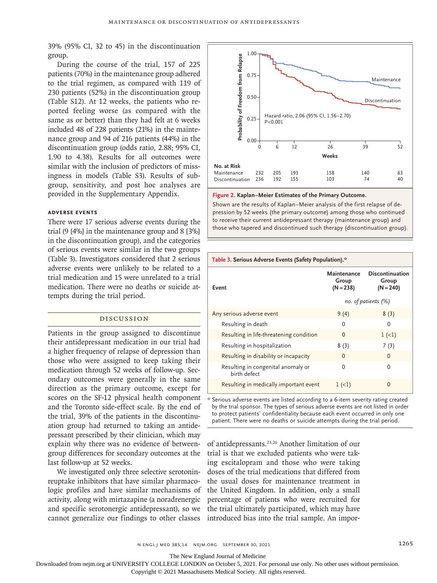39% (95% CI, 32 to 45) in the discontinuation group.

During the course of the trial, 157 of 225 patients (70%) in the maintenance group adhered to the trial regimen, as compared with 119 of 230 patients (52%) in the discontinuation group (Table S12). At 12 weeks, the patients who reported feeling worse (as compared with the same as or better) than they had felt at 6 weeks included 48 of 228 patients (21%) in the maintenance group and 94 of 216 patients (44%) in the discontinuation group (odds ratio, 2.88; 95% CI, 1.90 to 4.38). Results for all outcomes were similar with the inclusion of predictors of missingness in models (Table S3). Results of subgroup, sensitivity, and post hoc analyses are provided in the Supplementary Appendix.

#### **Adverse Events**

There were 17 serious adverse events during the trial (9 [4%] in the maintenance group and 8 [3%] in the discontinuation group), and the categories of serious events were similar in the two groups (Table 3). Investigators considered that 2 serious adverse events were unlikely to be related to a trial medication and 15 were unrelated to a trial medication. There were no deaths or suicide attempts during the trial period.

# Discussion

Patients in the group assigned to discontinue their antidepressant medication in our trial had a higher frequency of relapse of depression than those who were assigned to keep taking their medication through 52 weeks of follow-up. Secondary outcomes were generally in the same direction as the primary outcome, except for scores on the SF-12 physical health component and the Toronto side-effect scale. By the end of the trial, 39% of the patients in the discontinuation group had returned to taking an antidepressant prescribed by their clinician, which may explain why there was no evidence of betweengroup differences for secondary outcomes at the last follow-up at 52 weeks.

We investigated only three selective serotoninreuptake inhibitors that have similar pharmacologic profiles and have similar mechanisms of activity, along with mirtazapine (a noradrenergic and specific serotonergic antidepressant), so we cannot generalize our findings to other classes introduced bias into the trial sample. An impor-



#### **Figure 2. Kaplan–Meier Estimates of the Primary Outcome.**

Shown are the results of Kaplan–Meier analysis of the first relapse of depression by 52 weeks (the primary outcome) among those who continued to receive their current antidepressant therapy (maintenance group) and

| Table 3. Serious Adverse Events (Safety Population).* |                                   |                                                |  |  |
|-------------------------------------------------------|-----------------------------------|------------------------------------------------|--|--|
| Event                                                 | Maintenance<br>Group<br>(N = 238) | <b>Discontinuation</b><br>Group<br>$(N = 240)$ |  |  |
|                                                       | no. of patients (%)               |                                                |  |  |
| Any serious adverse event                             | 9(4)                              | 8(3)                                           |  |  |
| Resulting in death                                    | 0                                 | 0                                              |  |  |
| Resulting in life-threatening condition               | $\Omega$                          | $1 (-1)$                                       |  |  |
| Resulting in hospitalization                          | 8(3)                              | 7(3)                                           |  |  |
| Resulting in disability or incapacity                 | O                                 | 0                                              |  |  |
| Resulting in congenital anomaly or<br>birth defect    | U                                 | 0                                              |  |  |
| Resulting in medically important event                | $1(-1)$                           | O                                              |  |  |

\* Serious adverse events are listed according to a 6-item severity rating created by the trial sponsor. The types of serious adverse events are not listed in order to protect patients' confidentiality because each event occurred in only one patient. There were no deaths or suicide attempts during the trial period.

of antidepressants.23,26 Another limitation of our trial is that we excluded patients who were taking escitalopram and those who were taking doses of the trial medications that differed from the usual doses for maintenance treatment in the United Kingdom. In addition, only a small percentage of patients who were recruited for the trial ultimately participated, which may have

The New England Journal of Medicine

Downloaded from nejm.org at UNIVERSITY COLLEGE LONDON on October 5, 2021. For personal use only. No other uses without permission.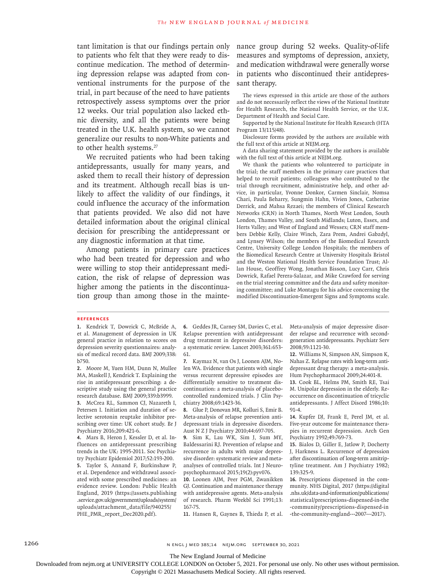tant limitation is that our findings pertain only to patients who felt that they were ready to discontinue medication. The method of determining depression relapse was adapted from conventional instruments for the purpose of the trial, in part because of the need to have patients retrospectively assess symptoms over the prior 12 weeks. Our trial population also lacked ethnic diversity, and all the patients were being treated in the U.K. health system, so we cannot generalize our results to non-White patients and to other health systems.<sup>27</sup>

We recruited patients who had been taking antidepressants, usually for many years, and asked them to recall their history of depression and its treatment. Although recall bias is unlikely to affect the validity of our findings, it could influence the accuracy of the information that patients provided. We also did not have detailed information about the original clinical decision for prescribing the antidepressant or any diagnostic information at that time.

Among patients in primary care practices who had been treated for depression and who were willing to stop their antidepressant medication, the risk of relapse of depression was higher among the patients in the discontinuation group than among those in the maintenance group during 52 weeks. Quality-of-life measures and symptoms of depression, anxiety, and medication withdrawal were generally worse in patients who discontinued their antidepressant therapy.

The views expressed in this article are those of the authors and do not necessarily reflect the views of the National Institute for Health Research, the National Health Service, or the U.K. Department of Health and Social Care.

Supported by the National Institute for Health Research (HTA Program 13/115/48).

Disclosure forms provided by the authors are available with the full text of this article at NEJM.org.

A data sharing statement provided by the authors is available with the full text of this article at NEJM.org.

We thank the patients who volunteered to participate in the trial; the staff members in the primary care practices that helped to recruit patients; colleagues who contributed to the trial through recruitment, administrative help, and other advice, in particular, Yvonne Donkor, Carmen Sinclair, Nomsa Chari, Paula Beharry, Sungmin Hahn, Vivien Jones, Catherine Derrick, and Mahsa Rezaei; the members of Clinical Research Networks (CRN) in North Thames, North West London, South London, Thames Valley, and South Midlands; Luton, Essex, and Herts Valley; and West of England and Wessex; CRN staff members Debbie Kelly, Claire Winch, Zara Prem, Andrei Gabzdyl, and Lynsey Wilson; the members of the Biomedical Research Centre, University College London Hospitals; the members of the Biomedical Research Centre at University Hospitals Bristol and the Weston National Health Service Foundation Trust; Allan House, Geoffrey Wong, Jonathan Bisson, Lucy Carr, Chris Dowrick, Rafael Perera-Salazar, and Mike Crawford for serving on the trial steering committee and the data and safety monitoring committee; and Luke Montagu for his advice concerning the modified Discontinuation-Emergent Signs and Symptoms scale.

#### **References**

**1.** Kendrick T, Dowrick C, McBride A, et al. Management of depression in UK general practice in relation to scores on depression severity questionnaires: analysis of medical record data. BMJ 2009;338: b750.

**2.** Moore M, Yuen HM, Dunn N, Mullee MA, Maskell J, Kendrick T. Explaining the rise in antidepressant prescribing: a descriptive study using the general practice research database. BMJ 2009;339:b3999.

**3.** McCrea RL, Sammon CJ, Nazareth I, Petersen I. Initiation and duration of selective serotonin reuptake inhibitor prescribing over time: UK cohort study. Br J Psychiatry 2016;209:421-6.

**4.** Mars B, Heron J, Kessler D, et al. Influences on antidepressant prescribing trends in the UK: 1995-2011. Soc Psychiatry Psychiatr Epidemiol 2017;52:193-200. **5.** Taylor S, Annand F, Burkinshaw P, et al. Dependence and withdrawal associated with some prescribed medicines: an evidence review. London: Public Health England, 2019 (https://assets.publishing .service.gov.uk/government/uploads/system/ uploads/attachment\_data/file/940255/ PHE\_PMR\_report\_Dec2020.pdf).

**6.** Geddes JR, Carney SM, Davies C, et al. Relapse prevention with antidepressant drug treatment in depressive disorders: a systematic review. Lancet 2003;361:653- 61.

**7.** Kaymaz N, van Os J, Loonen AJM, Nolen WA. Evidence that patients with single versus recurrent depressive episodes are differentially sensitive to treatment discontinuation: a meta-analysis of placebocontrolled randomized trials. J Clin Psychiatry 2008;69:1423-36.

**8.** Glue P, Donovan MR, Kolluri S, Emir B. Meta-analysis of relapse prevention antidepressant trials in depressive disorders. Aust N Z J Psychiatry 2010;44:697-705.

**9.** Sim K, Lau WK, Sim J, Sum MY, Baldessarini RJ. Prevention of relapse and recurrence in adults with major depressive disorder: systematic review and metaanalyses of controlled trials. Int J Neuropsychopharmacol 2015;19(2):pyv076.

**10.** Loonen AJM, Peer PGM, Zwanikken GJ. Continuation and maintenance therapy with antidepressive agents. Meta-analysis of research. Pharm Weekbl Sci 1991;13: 167-75.

**11.** Hansen R, Gaynes B, Thieda P, et al.

Meta-analysis of major depressive disorder relapse and recurrence with secondgeneration antidepressants. Psychiatr Serv 2008;59:1121-30.

**12.** Williams N, Simpson AN, Simpson K, Nahas Z. Relapse rates with long-term antidepressant drug therapy: a meta-analysis. Hum Psychopharmacol 2009;24:401-8.

**13.** Cook BL, Helms PM, Smith RE, Tsai M. Unipolar depression in the elderly. Reoccurrence on discontinuation of tricyclic antidepressants. J Affect Disord 1986;10: 91-4.

**14.** Kupfer DJ, Frank E, Perel JM, et al. Five-year outcome for maintenance therapies in recurrent depression. Arch Gen Psychiatry 1992;49:769-73.

**15.** Bialos D, Giller E, Jatlow P, Docherty J, Harkness L. Recurrence of depression after discontinuation of long-term amitriptyline treatment. Am J Psychiatry 1982; 139:325-9.

**16.** Prescriptions dispensed in the community. NHS Digital, 2017 (https://digital .nhs.uk/data-and-information/publications/ statistical/prescriptions-dispensed-in-the -community/prescriptions-dispensed-in -the-community-england---2007---2017).

1266 n engl j med 385;14 nejm.org September 30, 2021

The New England Journal of Medicine

Downloaded from nejm.org at UNIVERSITY COLLEGE LONDON on October 5, 2021. For personal use only. No other uses without permission.